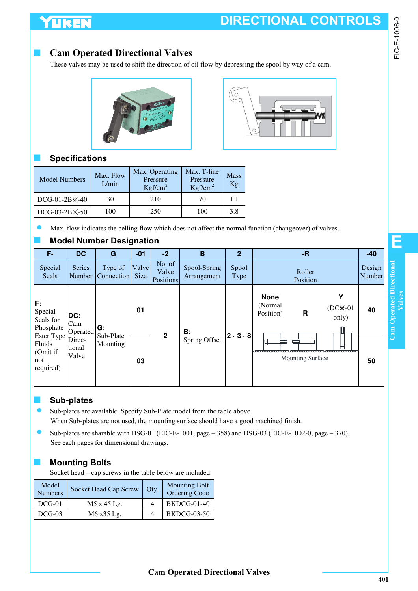# YUKEN

### **Cam Operated Directional Valves**

These valves may be used to shift the direction of oil flow by depressing the spool by way of a cam.





### ■ **Specifications**

| <b>Model Numbers</b>       | Max. Flow<br>L/min | Max. Operating<br>Pressure<br>Kgf/cm <sup>2</sup> | Max. T-line<br>Pressure<br>Kgf/cm <sup>2</sup> | <b>Mass</b><br>Kg |
|----------------------------|--------------------|---------------------------------------------------|------------------------------------------------|-------------------|
| DCG-01-2B <sup>×</sup> -40 | 30                 | 210                                               | 70                                             | 1.1               |
| $DCG-03-2B \times -50$     | 100                | 250                                               | 100                                            | 3.8               |

Max. flow indicates the celling flow which does not affect the normal function (changeover) of valves.

### **Model Number Designation**

| F.                                                   | <b>DC</b>                 | G                              | $-01$                | $-2$                                | B                           | 2 <sup>1</sup>        | $-R$                                                                  | $-40$            |
|------------------------------------------------------|---------------------------|--------------------------------|----------------------|-------------------------------------|-----------------------------|-----------------------|-----------------------------------------------------------------------|------------------|
| Special<br><b>Seals</b>                              | <b>Series</b>             | Type of<br>Number   Connection | Valve<br><b>Size</b> | No. of<br>Valve<br><b>Positions</b> | Spool-Spring<br>Arrangement | Spool<br>Type         | Roller<br>Position                                                    | Design<br>Number |
| F:<br>Special<br>Seals for<br>Phosphate              | DC:<br>Cam<br>Operated    | G:                             | 01                   |                                     | В:                          |                       | <b>None</b><br>Υ<br>(Normal)<br>$(DCX-01)$<br>R<br>Position)<br>only) | 40               |
| Ester Type<br>Fluids<br>(Omit if<br>not<br>required) | Direc-<br>tional<br>Valve | Sub-Plate<br>Mounting          | 03                   | $\overline{2}$                      | Spring Offset               | $ 2 \cdot 3 \cdot 8 $ | aa aaaaaaaaa<br><b>Mounting Surface</b>                               | 50               |

#### ■ **Sub-plates**

- Sub-plates are available. Specify Sub-Plate model from the table above. When Sub-plates are not used, the mounting surface should have a good machined finish.
- Sub-plates are sharable with DSG-01 (EIC-E-1001, page 358) and DSG-03 (EIC-E-1002-0, page 370). See each pages for dimensional drawings.

#### ■ **Mounting Bolts**

Socket head – cap screws in the table below are included.

| Model<br><b>Numbers</b> | Socket Head Cap Screw | Oty. | <b>Mounting Bolt</b><br>Ordering Code |
|-------------------------|-----------------------|------|---------------------------------------|
| $DCG-01$                | M5 x 45 Lg.           |      | <b>BKDCG-01-40</b>                    |
| $DCG-03$                | M6 x35 Lg.            |      | <b>BKDCG-03-50</b>                    |

**E**

EIC-E-1006-0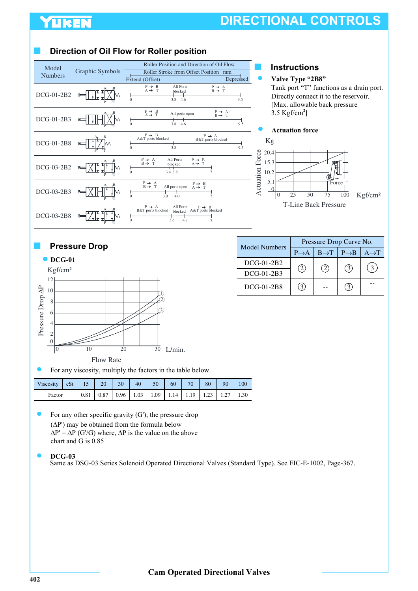## **YUKEN**

# **DIRECTIONAL CONTROLS**

#### $A_1$   $B$ P T  $A_1$   $B_2$ P T  $A_1$   $B$ P T  $A_{I}$   $B$ P T  $A_{L}$  B P T  $A_{I}$   $B$ P T DCG-01-2B2 DCG-01-2B3 DCG-01-2B8 DCG-03-2B2 DCG-03-2B8 DCG-03-2B3 Roller Stroke from Offset Position mm<br>
(Offset) Depressed Roller Position and Direction of Oil Flow Extend (Offset)  $\text{Model} \quad \text{Graphic Symbols}$ Numbers  $P \rightarrow B$ <br>A  $\rightarrow T$  $P \rightarrow B \atop A \rightarrow T$  $P \rightarrow B$ <br>A&T ports blocked P → A<br>B → T  $P \rightarrow P \rightarrow T$  $P \rightarrow B$ <br>A  $\rightarrow T$  $P \rightarrow A$ <br>B&T ports blocked P → A<br>B → T P → A<br>B → T P → A<br>B → T 3.8 4.6 9.5  $\frac{1}{3.8}$  4.6 9.5 3.8 9.5 3.4 3.8  $\frac{1}{3.0}$  4.0  $3.6$ All ports open  $\begin{array}{c} \text{P} \rightarrow \text{A} \\ \text{B\&T ports blocked} \end{array}$ All ports open  $P \rightarrow B$ <br>A&T ports blocked 7 All Ports blocked All Ports blocked All Ports blocked  $\frac{1}{2}$ 0 0  $\alpha$ 0  $\mathbf{0}$

#### **Direction of Oil Flow for Roller position**

#### ■ **Instructions**

#### **Valve Type "2B8"**

Tank port "T" functions as a drain port. Directly connect it to the reservoir. [Max. allowable back pressure] 3.5 Kgf/cm**<sup>2</sup> ]**





**Pressure Drop** 



For any viscosity, multiply the factors in the table below.

| Viscosity cSt 15 20 30 40 50 60 70 80 90 100 |  |  |  |  |  |  |
|----------------------------------------------|--|--|--|--|--|--|
| Factor                                       |  |  |  |  |  |  |

For any other specific gravity  $(G')$ , the pressure drop  $(\Delta P')$  may be obtained from the formula below  $\Delta P' = \Delta P$  (G'/G) where,  $\Delta P$  is the value on the above chart and G is 0.85

#### **DCG-03**

Same as DSG-03 Series Solenoid Operated Directional Valves (Standard Type). See EIC-E-1002, Page-367.

| Model Numbers     | Pressure Drop Curve No. |                                     |     |                   |  |  |
|-------------------|-------------------------|-------------------------------------|-----|-------------------|--|--|
|                   | $P \rightarrow A$       | $B\rightarrow T$   $P\rightarrow B$ |     | $A \rightarrow T$ |  |  |
| $DCG-01-2B2$      | (2)                     | (2)                                 | (3) | $\mathbf{3}$      |  |  |
| $DCG-01-2B3$      |                         |                                     |     |                   |  |  |
| <b>DCG-01-2B8</b> |                         |                                     |     |                   |  |  |
|                   |                         |                                     |     |                   |  |  |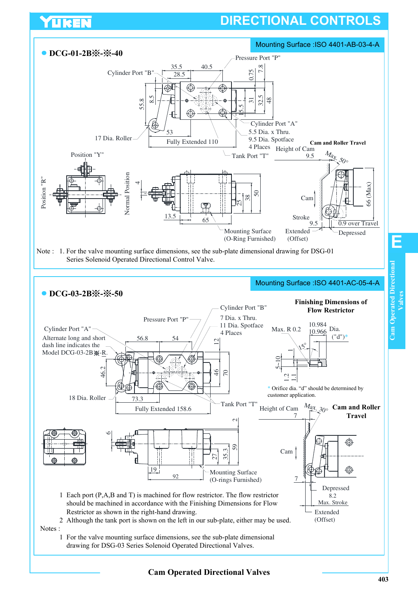# **DIRECTIONAL CONTROLS**



UKEN

**Cam Operated Directional Valves**

**Valves**

**E**